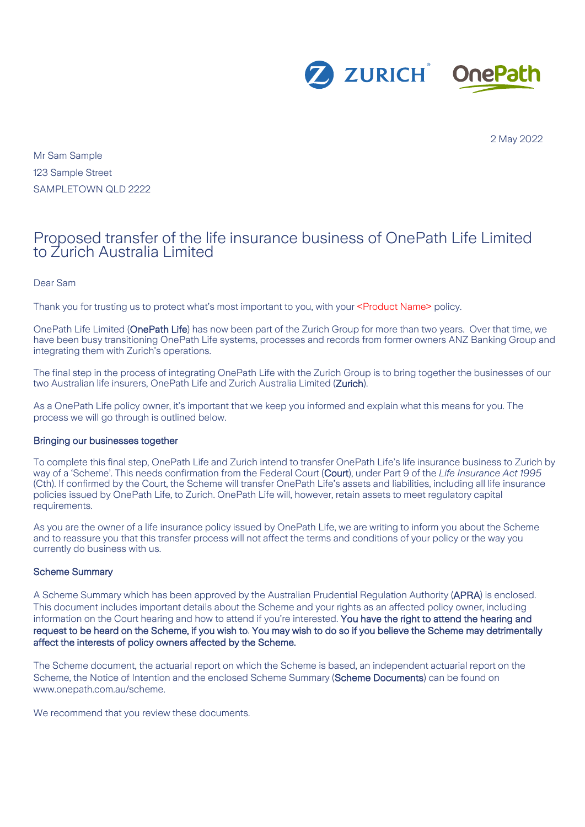

2 May 2022

Mr Sam Sample 123 Sample Street SAMPLETOWN QLD 2222

# Proposed transfer of the life insurance business of OnePath Life Limited to Zurich Australia Limited

Dear Sam

Thank you for trusting us to protect what's most important to you, with your <Product Name> policy.

OnePath Life Limited (OnePath Life) has now been part of the Zurich Group for more than two years. Over that time, we have been busy transitioning OnePath Life systems, processes and records from former owners ANZ Banking Group and integrating them with Zurich's operations.

The final step in the process of integrating OnePath Life with the Zurich Group is to bring together the businesses of our two Australian life insurers, OnePath Life and Zurich Australia Limited (Zurich).

As a OnePath Life policy owner, it's important that we keep you informed and explain what this means for you. The process we will go through is outlined below.

### Bringing our businesses together

To complete this final step, OnePath Life and Zurich intend to transfer OnePath Life's life insurance business to Zurich by way of a 'Scheme'. This needs confirmation from the Federal Court (Court), under Part 9 of the *Life Insurance Act 1995*  (Cth). If confirmed by the Court, the Scheme will transfer OnePath Life's assets and liabilities, including all life insurance policies issued by OnePath Life, to Zurich. OnePath Life will, however, retain assets to meet regulatory capital requirements.

As you are the owner of a life insurance policy issued by OnePath Life, we are writing to inform you about the Scheme and to reassure you that this transfer process will not affect the terms and conditions of your policy or the way you currently do business with us.

### Scheme Summary

A Scheme Summary which has been approved by the Australian Prudential Regulation Authority (APRA) is enclosed. This document includes important details about the Scheme and your rights as an affected policy owner, including information on the Court hearing and how to attend if you're interested. You have the right to attend the hearing and request to be heard on the Scheme, if you wish to. You may wish to do so if you believe the Scheme may detrimentally affect the interests of policy owners affected by the Scheme.

The Scheme document, the actuarial report on which the Scheme is based, an independent actuarial report on the Scheme, the Notice of Intention and the enclosed Scheme Summary (Scheme Documents) can be found on www.onepath.com.au/scheme.

We recommend that you review these documents.